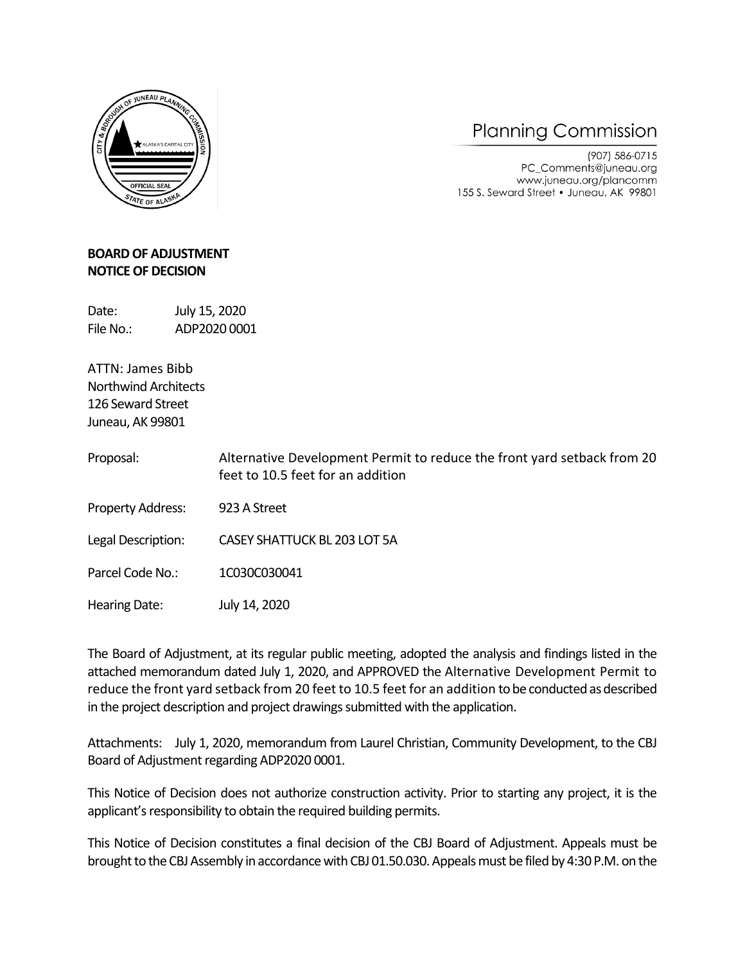

## **Planning Commission**

(907) 586-0715 PC\_Comments@juneau.org www.juneau.org/plancomm 155 S. Seward Street • Juneau, AK 99801

## **BOARD OF ADJUSTMENT NOTICE OF DECISION**

Date: July 15, 2020 File No.: ADP2020 0001

ATTN: James Bibb Northwind Architects 126 Seward Street Juneau, AK 99801

- Proposal: Alternative Development Permit to reduce the front yard setback from 20 feet to 10.5 feet for an addition
- Property Address: 923 A Street

Legal Description: CASEY SHATTUCK BL 203 LOT 5A

Parcel Code No.: 1C030C030041

Hearing Date: July 14, 2020

The Board of Adjustment, at its regular public meeting, adopted the analysis and findings listed in the attached memorandum dated July 1, 2020, and APPROVED the Alternative Development Permit to reduce the front yard setback from 20 feet to 10.5 feet for an addition to be conducted as described in the project description and project drawings submitted with the application.

Attachments: July 1, 2020, memorandum from Laurel Christian, Community Development, to the CBJ Board of Adjustment regarding ADP2020 0001.

This Notice of Decision does not authorize construction activity. Prior to starting any project, it is the applicant's responsibility to obtain the required building permits.

This Notice of Decision constitutes a final decision of the CBJ Board of Adjustment. Appeals must be brought to the CBJ Assembly in accordance with CBJ 01.50.030. Appeals must be filed by 4:30 P.M. on the